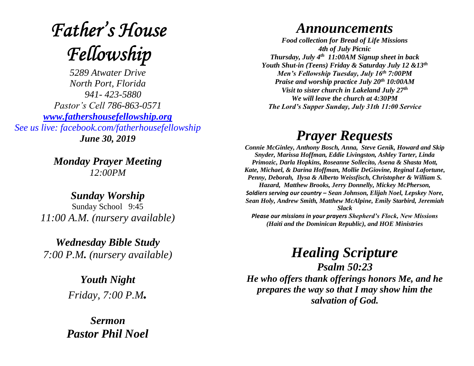# **Father's House** Fellowship

*5289 Atwater Drive North Port, Florida 941- 423-5880 Pastor's Cell 786-863-0571 [www.fathershousefellowship.org](http://www.fathershousefellowship.org/) See us live: facebook.com/fatherhousefellowship June 30, 2019*

> *Monday Prayer Meeting 12:00PM*

*Sunday Worship* Sunday School 9:45 *11:00 A.M. (nursery available)*

*Wednesday Bible Study 7:00 P.M. (nursery available)*

> *Youth Night Friday, 7:00 P.M.*

*Sermon Pastor Phil Noel*

#### *Announcements*

*Food collection for Bread of Life Missions 4th of July Picnic Thursday, July 4th 11:00AM Signup sheet in back Youth Shut-in (Teens) Friday & Saturday July 12 &13th Men's Fellowship Tuesday, July 16th 7:00PM Praise and worship practice July 20th 10:00AM Visit to sister church in Lakeland July 27th We will leave the church at 4:30PM The Lord's Supper Sunday, July 31th 11:00 Service*

## *Prayer Requests*

*Connie McGinley, Anthony Bosch, Anna, Steve Genik, Howard and Skip Snyder, Marissa Hoffman, Eddie Livingston, Ashley Tarter, Linda Primozic, Darla Hopkins, Roseanne Sollecito, Asena & Shasta Mott, Kate, Michael, & Darina Hoffman, Mollie DeGiovine, Reginal Lafortune, Penny, Deborah, Ilysa & Alberto Weissfisch, Christopher & William S. Hazard, Matthew Brooks, Jerry Donnelly, Mickey McPherson, Soldiers serving our country – Sean Johnson, Elijah Noel, Lepskey Nore, Sean Holy, Andrew Smith, Matthew McAlpine, Emily Starbird, Jeremiah Slack Please our missions in your prayers Shepherd's Flock, New Missions (Haiti and the Dominican Republic), and HOE Ministries*

## *Healing Scripture*

*Psalm 50:23 He who offers thank offerings honors Me, and he prepares the way so that I may show him the salvation of God.*